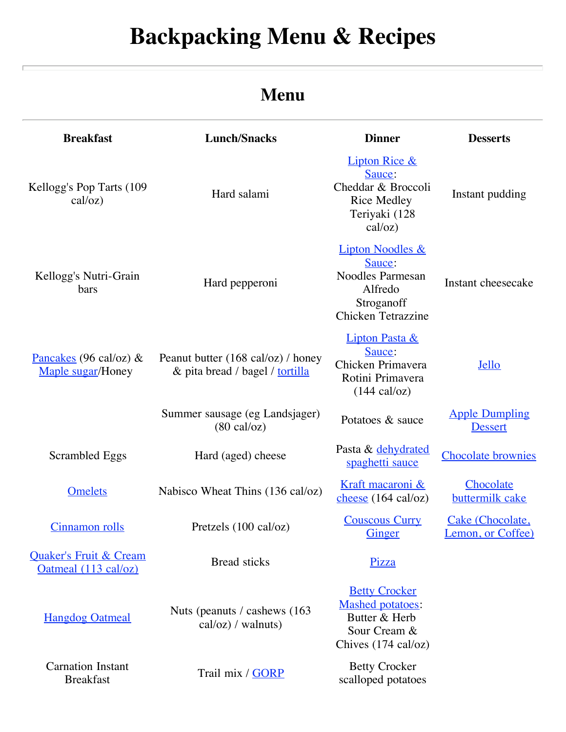# **Backpacking Menu & Recipes**

## **Menu**

| <b>Breakfast</b>                                          | <b>Lunch/Snacks</b>                                                   | <b>Dinner</b>                                                                                                          | <b>Desserts</b>                         |
|-----------------------------------------------------------|-----------------------------------------------------------------------|------------------------------------------------------------------------------------------------------------------------|-----------------------------------------|
| Kellogg's Pop Tarts (109<br>cal/oz)                       | Hard salami                                                           | <b>Lipton Rice &amp;</b><br>Sauce:<br>Cheddar & Broccoli<br><b>Rice Medley</b><br>Teriyaki (128<br>cal/oz)             | Instant pudding                         |
| Kellogg's Nutri-Grain<br>bars                             | Hard pepperoni                                                        | <b>Lipton Noodles &amp;</b><br>Sauce:<br><b>Noodles Parmesan</b><br>Alfredo<br>Stroganoff<br><b>Chicken Tetrazzine</b> | Instant cheesecake                      |
| Pancakes (96 cal/oz) $\&$<br>Maple sugar/Honey            | Peanut butter (168 cal/oz) / honey<br>& pita bread / bagel / tortilla | <b>Lipton Pasta &amp;</b><br>Sauce:<br>Chicken Primavera<br>Rotini Primavera<br>$(144 \text{ cal}/oz)$                 | <b>Jello</b>                            |
|                                                           | Summer sausage (eg Landsjager)<br>$(80 \text{ cal}/oz)$               | Potatoes & sauce                                                                                                       | <b>Apple Dumpling</b><br><b>Dessert</b> |
| Scrambled Eggs                                            | Hard (aged) cheese                                                    | Pasta & dehydrated<br>spaghetti sauce                                                                                  | <b>Chocolate brownies</b>               |
| <b>Omelets</b>                                            | Nabisco Wheat Thins (136 cal/oz)                                      | Kraft macaroni &<br>cheese $(164 \text{ cal}/oz)$                                                                      | Chocolate<br>buttermilk cake            |
| <b>Cinnamon</b> rolls                                     | Pretzels $(100 \text{ cal}/oz)$                                       | <b>Couscous Curry</b><br>Ginger                                                                                        | Cake (Chocolate,<br>Lemon, or Coffee)   |
| <b>Quaker's Fruit &amp; Cream</b><br>Oatmeal (113 cal/oz) | <b>Bread</b> sticks                                                   | Pizza                                                                                                                  |                                         |
| <b>Hangdog Oatmeal</b>                                    | Nuts (peanuts / cashews (163)<br>$cal/oz)$ / walnuts)                 | <b>Betty Crocker</b><br><b>Mashed potatoes:</b><br>Butter & Herb<br>Sour Cream &<br>Chives $(174 \text{ cal}/oz)$      |                                         |
| <b>Carnation Instant</b><br><b>Breakfast</b>              | Trail mix / GORP                                                      | <b>Betty Crocker</b><br>scalloped potatoes                                                                             |                                         |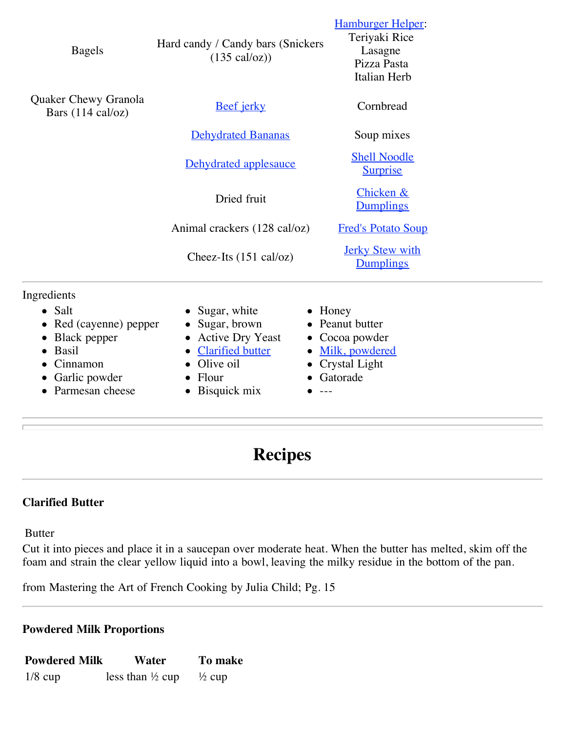| <b>Bagels</b>                                                                                                | Hard candy / Candy bars (Snickers<br>$(135 \text{ cal}/\text{o}z))$                                                                                 | <b>Hamburger Helper:</b><br>Teriyaki Rice<br>Lasagne<br>Pizza Pasta<br>Italian Herb   |
|--------------------------------------------------------------------------------------------------------------|-----------------------------------------------------------------------------------------------------------------------------------------------------|---------------------------------------------------------------------------------------|
| Quaker Chewy Granola<br>Bars $(114 \text{ cal}/oz)$                                                          | <b>Beef</b> jerky                                                                                                                                   | Cornbread                                                                             |
|                                                                                                              | <b>Dehydrated Bananas</b>                                                                                                                           | Soup mixes                                                                            |
|                                                                                                              | Dehydrated applesauce                                                                                                                               | <b>Shell Noodle</b><br><b>Surprise</b>                                                |
|                                                                                                              | Dried fruit                                                                                                                                         | Chicken &<br><b>Dumplings</b>                                                         |
|                                                                                                              | Animal crackers (128 cal/oz)                                                                                                                        | <b>Fred's Potato Soup</b>                                                             |
|                                                                                                              | Cheez-Its $(151 \text{ cal}/oz)$                                                                                                                    | <b>Jerky Stew with</b><br>Dumplings                                                   |
| Ingredients                                                                                                  |                                                                                                                                                     |                                                                                       |
| $\bullet$ Salt<br>Red (cayenne) pepper<br>Black pepper<br><b>Basil</b><br>$\bullet$<br>Cinnamon<br>$\bullet$ | Sugar, white<br>Sugar, brown<br><b>Active Dry Yeast</b><br>$\bullet$<br><b>Clarified butter</b><br>$\bullet$<br>Olive oil<br>$\bullet$<br>$\bullet$ | $\bullet$ Honey<br>Peanut butter<br>• Cocoa powder<br>Milk, powdered<br>Crystal Light |

- Garlic powder
- Parmesan cheese
- Flour • Bisquick mix
- Crystal Light
- Gatorade
- $-$ --

## **Recipes**

## **Clarified Butter**

Butter

Cut it into pieces and place it in a saucepan over moderate heat. When the butter has melted, skim off the foam and strain the clear yellow liquid into a bowl, leaving the milky residue in the bottom of the pan.

from Mastering the Art of French Cooking by Julia Child; Pg. 15

## **Powdered Milk Proportions**

| <b>Powdered Milk</b> | Water                       | To make           |
|----------------------|-----------------------------|-------------------|
| $1/8$ cup            | less than $\frac{1}{2}$ cup | $\frac{1}{2}$ cup |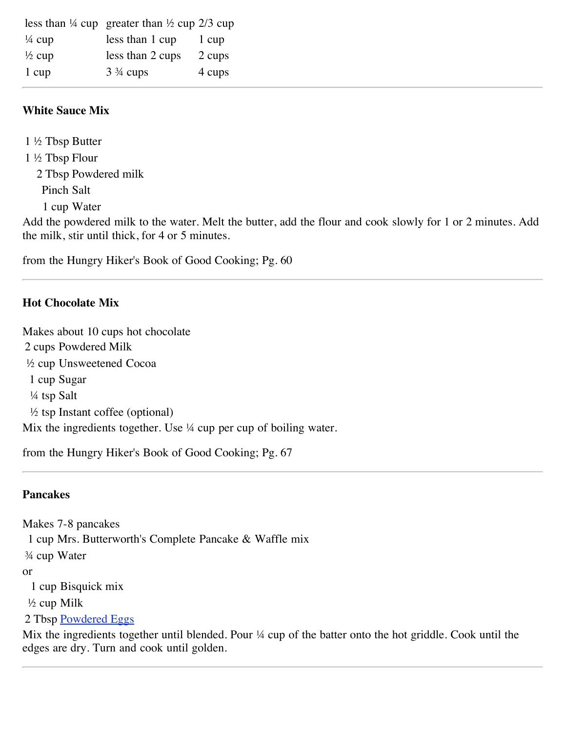|                   | less than $\frac{1}{4}$ cup greater than $\frac{1}{2}$ cup 2/3 cup |        |
|-------------------|--------------------------------------------------------------------|--------|
| $\frac{1}{4}$ cup | less than 1 cup                                                    | 1 cup  |
| $\frac{1}{2}$ cup | less than 2 cups                                                   | 2 cups |
| 1 cup             | $3\frac{3}{4}$ cups                                                | 4 cups |

## **White Sauce Mix**

1 ½ Tbsp Butter 1 ½ Tbsp Flour 2 Tbsp Powdered milk Pinch Salt

1 cup Water

Add the powdered milk to the water. Melt the butter, add the flour and cook slowly for 1 or 2 minutes. Add the milk, stir until thick, for 4 or 5 minutes.

from the Hungry Hiker's Book of Good Cooking; Pg. 60

## **Hot Chocolate Mix**

Makes about 10 cups hot chocolate 2 cups Powdered Milk ½ cup Unsweetened Cocoa 1 cup Sugar ¼ tsp Salt ½ tsp Instant coffee (optional) Mix the ingredients together. Use  $\frac{1}{4}$  cup per cup of boiling water.

from the Hungry Hiker's Book of Good Cooking; Pg. 67

## **Pancakes**

Makes 7-8 pancakes 1 cup Mrs. Butterworth's Complete Pancake & Waffle mix ¾ cup Water or 1 cup Bisquick mix ½ cup Milk 2 Tbsp [Powdered Eggs](http://www.ziplink.net/~24601/recipes/dehydtr.htm#EGGS)

Mix the ingredients together until blended. Pour ¼ cup of the batter onto the hot griddle. Cook until the edges are dry. Turn and cook until golden.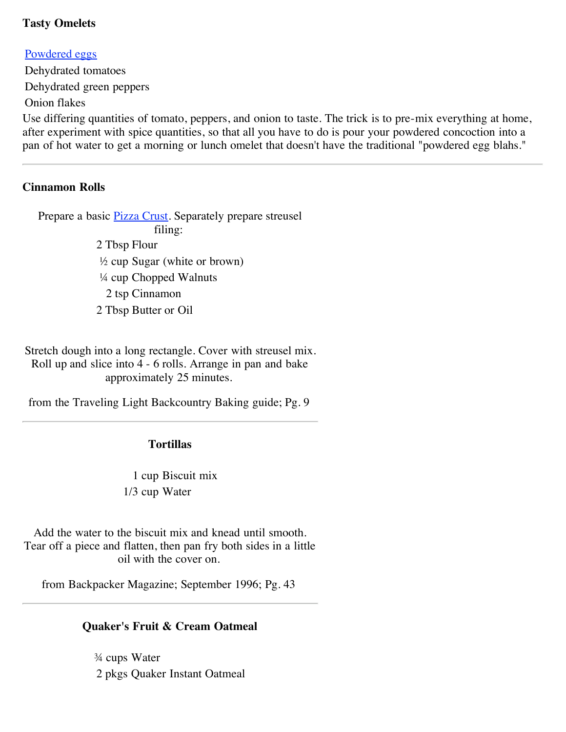#### **Tasty Omelets**

#### [Powdered eggs](http://www.ziplink.net/~24601/recipes/dehydrtr.htm#EGGS)

Dehydrated tomatoes Dehydrated green peppers Onion flakes

Use differing quantities of tomato, peppers, and onion to taste. The trick is to pre-mix everything at home, after experiment with spice quantities, so that all you have to do is pour your powdered concoction into a pan of hot water to get a morning or lunch omelet that doesn't have the traditional "powdered egg blahs."

#### **Cinnamon Rolls**

Prepare a basic **[Pizza Crust](http://www.ziplink.net/~24601/recipes/bprecipe.htm#PIZZA)**. Separately prepare streusel filing: 2 Tbsp Flour ½ cup Sugar (white or brown) ¼ cup Chopped Walnuts 2 tsp Cinnamon 2 Tbsp Butter or Oil

Stretch dough into a long rectangle. Cover with streusel mix. Roll up and slice into 4 - 6 rolls. Arrange in pan and bake approximately 25 minutes.

from the Traveling Light Backcountry Baking guide; Pg. 9

#### **Tortillas**

1 cup Biscuit mix 1/3 cup Water

Add the water to the biscuit mix and knead until smooth. Tear off a piece and flatten, then pan fry both sides in a little oil with the cover on.

from Backpacker Magazine; September 1996; Pg. 43

#### **Quaker's Fruit & Cream Oatmeal**

¾ cups Water 2 pkgs Quaker Instant Oatmeal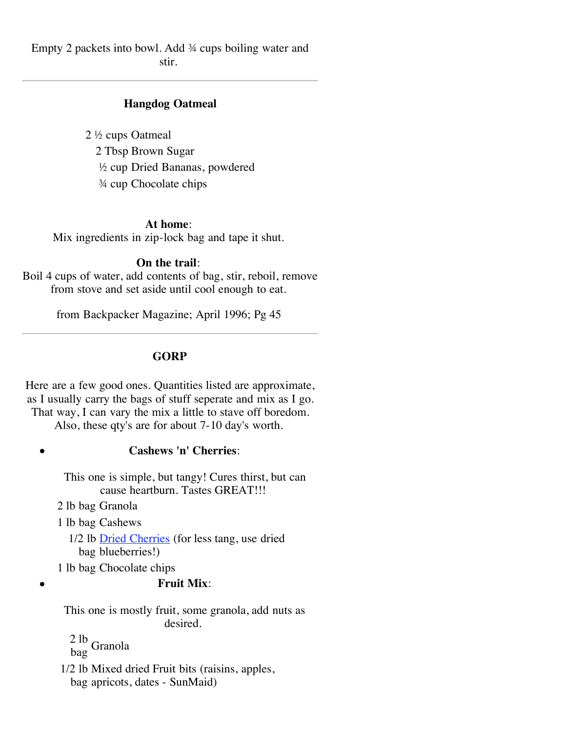Empty 2 packets into bowl. Add ¾ cups boiling water and stir.

## **Hangdog Oatmeal**

2 ½ cups Oatmeal 2 Tbsp Brown Sugar ½ cup Dried Bananas, powdered ¾ cup Chocolate chips

#### **At home**:

Mix ingredients in zip-lock bag and tape it shut.

#### **On the trail**:

Boil 4 cups of water, add contents of bag, stir, reboil, remove from stove and set aside until cool enough to eat.

from Backpacker Magazine; April 1996; Pg 45

#### **GORP**

Here are a few good ones. Quantities listed are approximate, as I usually carry the bags of stuff seperate and mix as I go. That way, I can vary the mix a little to stave off boredom.

Also, these qty's are for about 7-10 day's worth.

#### **Cashews 'n' Cherries**:

This one is simple, but tangy! Cures thirst, but can cause heartburn. Tastes GREAT!!!

2 lb bag Granola

 $\bullet$ 

1 lb bag Cashews

1/2 lb **[Dried Cherries](http://www.ziplink.net/~24601/recipes/dehydrtr.htm#CHERRIES)** (for less tang, use dried bag blueberries!)

1 lb bag Chocolate chips

#### **Fruit Mix**:

This one is mostly fruit, some granola, add nuts as desired.

2 lb<br>bag Granola

1/2 lb Mixed dried Fruit bits (raisins, apples, bag apricots, dates - SunMaid)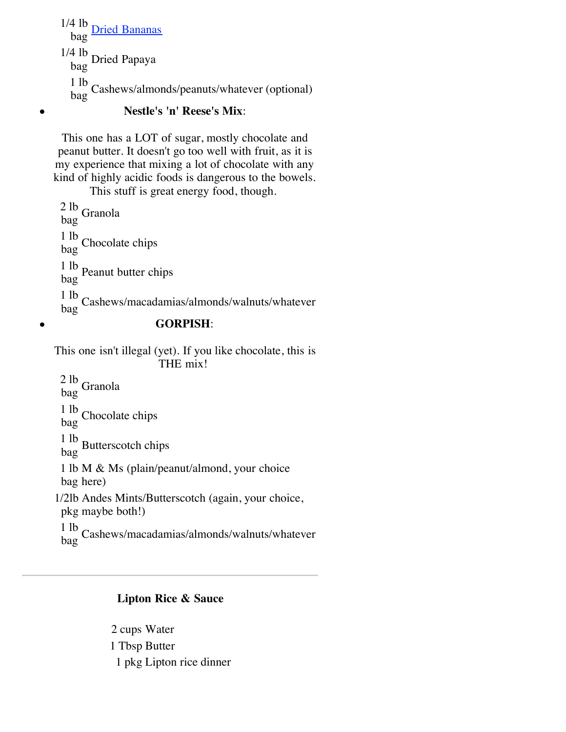$1/4$  lb bag [Dried Bananas](http://www.ziplink.net/~24601/recipes/dehydrtr.htm#BANANAS) 1/4 lb bag Dried Papaya 1 lb bag Cashews/almonds/peanuts/whatever (optional)

## **Nestle's 'n' Reese's Mix**:

This one has a LOT of sugar, mostly chocolate and peanut butter. It doesn't go too well with fruit, as it is my experience that mixing a lot of chocolate with any kind of highly acidic foods is dangerous to the bowels.

This stuff is great energy food, though. 2 lb bag Granola

1 lb  $\frac{1}{\log}$  Chocolate chips 1 lb bag Peanut butter chips 1 lb <sup>1 10</sup> Cashews/macadamias/almonds/walnuts/whatever

 $\bullet$ 

 $\bullet$ 

## **GORPISH**:

This one isn't illegal (yet). If you like chocolate, this is THE mix!

 $\frac{2 \text{ lb}}{\text{bag}}$  Granola  $\frac{1 \text{ lb}}{\text{bag}}$  Chocolate chips 1 lb bag Butterscotch chips 1 lb M & Ms (plain/peanut/almond, your choice bag here) 1/2lb Andes Mints/Butterscotch (again, your choice, pkg maybe both!) 1 lb <sup>1 10</sup> Cashews/macadamias/almonds/walnuts/whatever

## **Lipton Rice & Sauce**

2 cups Water 1 Tbsp Butter 1 pkg Lipton rice dinner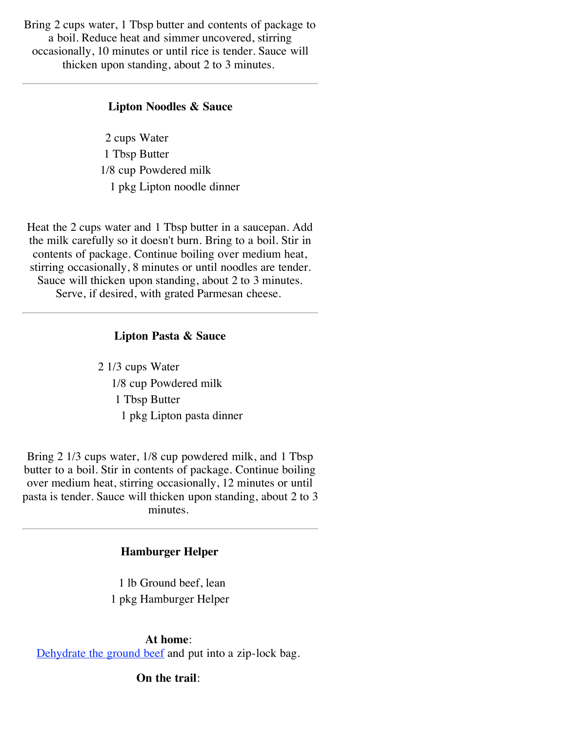Bring 2 cups water, 1 Tbsp butter and contents of package to a boil. Reduce heat and simmer uncovered, stirring occasionally, 10 minutes or until rice is tender. Sauce will thicken upon standing, about 2 to 3 minutes.

#### **Lipton Noodles & Sauce**

2 cups Water 1 Tbsp Butter 1/8 cup Powdered milk 1 pkg Lipton noodle dinner

Heat the 2 cups water and 1 Tbsp butter in a saucepan. Add the milk carefully so it doesn't burn. Bring to a boil. Stir in contents of package. Continue boiling over medium heat, stirring occasionally, 8 minutes or until noodles are tender. Sauce will thicken upon standing, about 2 to 3 minutes. Serve, if desired, with grated Parmesan cheese.

#### **Lipton Pasta & Sauce**

2 1/3 cups Water 1/8 cup Powdered milk 1 Tbsp Butter 1 pkg Lipton pasta dinner

Bring 2 1/3 cups water, 1/8 cup powdered milk, and 1 Tbsp butter to a boil. Stir in contents of package. Continue boiling over medium heat, stirring occasionally, 12 minutes or until pasta is tender. Sauce will thicken upon standing, about 2 to 3 minutes.

#### **Hamburger Helper**

1 lb Ground beef, lean 1 pkg Hamburger Helper

**At home**: [Dehydrate the ground beef](http://www.ziplink.net/~24601/recipes/dehydrtr.htm#HAMBURG) and put into a zip-lock bag.

**On the trail**: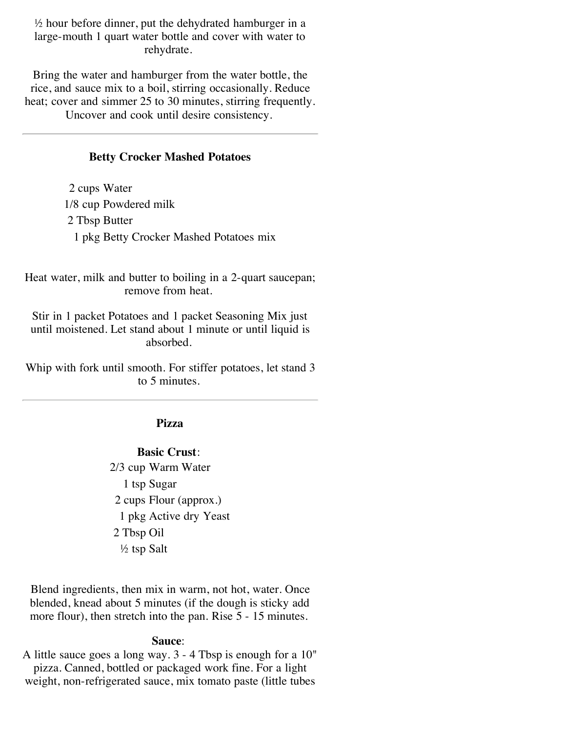$\frac{1}{2}$  hour before dinner, put the dehydrated hamburger in a large-mouth 1 quart water bottle and cover with water to rehydrate.

Bring the water and hamburger from the water bottle, the rice, and sauce mix to a boil, stirring occasionally. Reduce heat; cover and simmer 25 to 30 minutes, stirring frequently.

Uncover and cook until desire consistency.

#### **Betty Crocker Mashed Potatoes**

2 cups Water 1/8 cup Powdered milk 2 Tbsp Butter 1 pkg Betty Crocker Mashed Potatoes mix

Heat water, milk and butter to boiling in a 2-quart saucepan; remove from heat.

Stir in 1 packet Potatoes and 1 packet Seasoning Mix just until moistened. Let stand about 1 minute or until liquid is absorbed.

Whip with fork until smooth. For stiffer potatoes, let stand 3 to 5 minutes.

### **Pizza**

**Basic Crust**: 2/3 cup Warm Water 1 tsp Sugar 2 cups Flour (approx.) 1 pkg Active dry Yeast 2 Tbsp Oil ½ tsp Salt

Blend ingredients, then mix in warm, not hot, water. Once blended, knead about 5 minutes (if the dough is sticky add more flour), then stretch into the pan. Rise 5 - 15 minutes.

#### **Sauce**:

A little sauce goes a long way. 3 - 4 Tbsp is enough for a 10" pizza. Canned, bottled or packaged work fine. For a light weight, non-refrigerated sauce, mix tomato paste (little tubes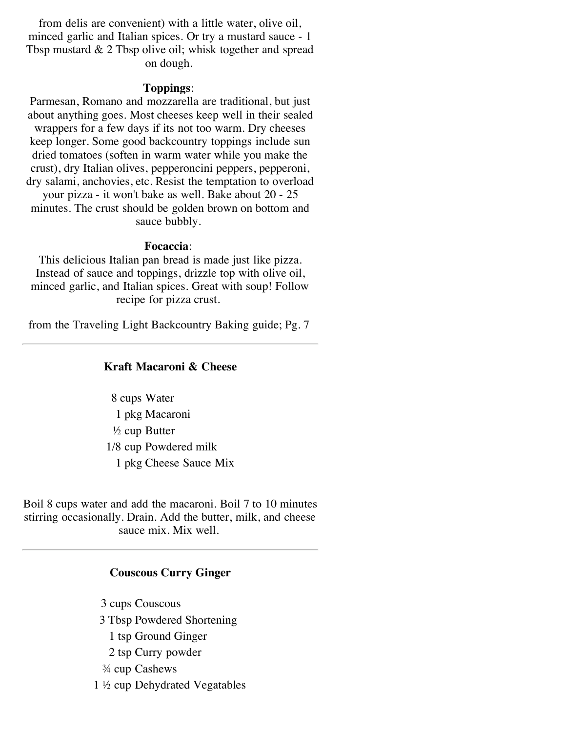from delis are convenient) with a little water, olive oil, minced garlic and Italian spices. Or try a mustard sauce - 1 Tbsp mustard & 2 Tbsp olive oil; whisk together and spread on dough.

#### **Toppings**:

Parmesan, Romano and mozzarella are traditional, but just about anything goes. Most cheeses keep well in their sealed wrappers for a few days if its not too warm. Dry cheeses keep longer. Some good backcountry toppings include sun dried tomatoes (soften in warm water while you make the crust), dry Italian olives, pepperoncini peppers, pepperoni, dry salami, anchovies, etc. Resist the temptation to overload

your pizza - it won't bake as well. Bake about 20 - 25 minutes. The crust should be golden brown on bottom and sauce bubbly.

#### **Focaccia**:

This delicious Italian pan bread is made just like pizza. Instead of sauce and toppings, drizzle top with olive oil, minced garlic, and Italian spices. Great with soup! Follow recipe for pizza crust.

from the Traveling Light Backcountry Baking guide; Pg. 7

#### **Kraft Macaroni & Cheese**

8 cups Water 1 pkg Macaroni  $\frac{1}{2}$  cup Butter 1/8 cup Powdered milk 1 pkg Cheese Sauce Mix

Boil 8 cups water and add the macaroni. Boil 7 to 10 minutes stirring occasionally. Drain. Add the butter, milk, and cheese sauce mix. Mix well.

#### **Couscous Curry Ginger**

3 cups Couscous 3 Tbsp Powdered Shortening 1 tsp Ground Ginger 2 tsp Curry powder ¾ cup Cashews 1 ½ cup Dehydrated Vegatables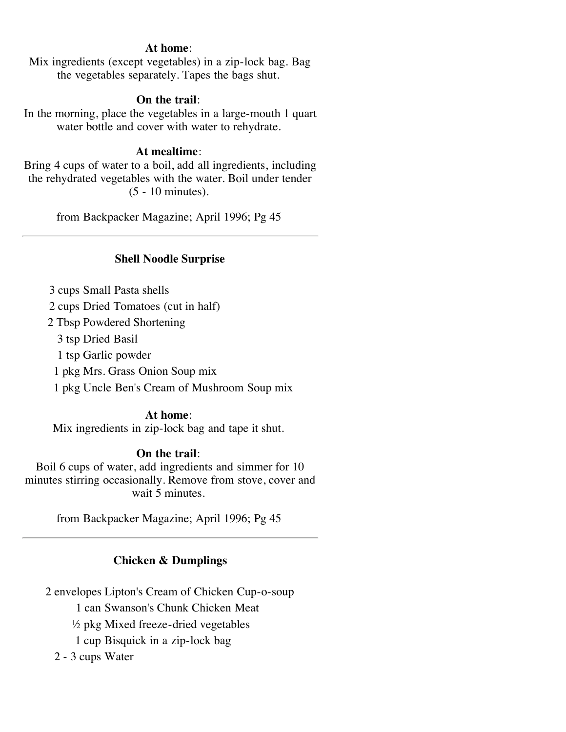## **At home**:

Mix ingredients (except vegetables) in a zip-lock bag. Bag the vegetables separately. Tapes the bags shut.

## **On the trail**:

In the morning, place the vegetables in a large-mouth 1 quart water bottle and cover with water to rehydrate.

## **At mealtime**:

Bring 4 cups of water to a boil, add all ingredients, including the rehydrated vegetables with the water. Boil under tender (5 - 10 minutes).

from Backpacker Magazine; April 1996; Pg 45

## **Shell Noodle Surprise**

3 cups Small Pasta shells

2 cups Dried Tomatoes (cut in half)

2 Tbsp Powdered Shortening

3 tsp Dried Basil

1 tsp Garlic powder

1 pkg Mrs. Grass Onion Soup mix

1 pkg Uncle Ben's Cream of Mushroom Soup mix

## **At home**:

Mix ingredients in zip-lock bag and tape it shut.

## **On the trail**:

Boil 6 cups of water, add ingredients and simmer for 10 minutes stirring occasionally. Remove from stove, cover and wait 5 minutes.

from Backpacker Magazine; April 1996; Pg 45

## **Chicken & Dumplings**

2 envelopes Lipton's Cream of Chicken Cup-o-soup

1 can Swanson's Chunk Chicken Meat

½ pkg Mixed freeze-dried vegetables

1 cup Bisquick in a zip-lock bag

2 - 3 cups Water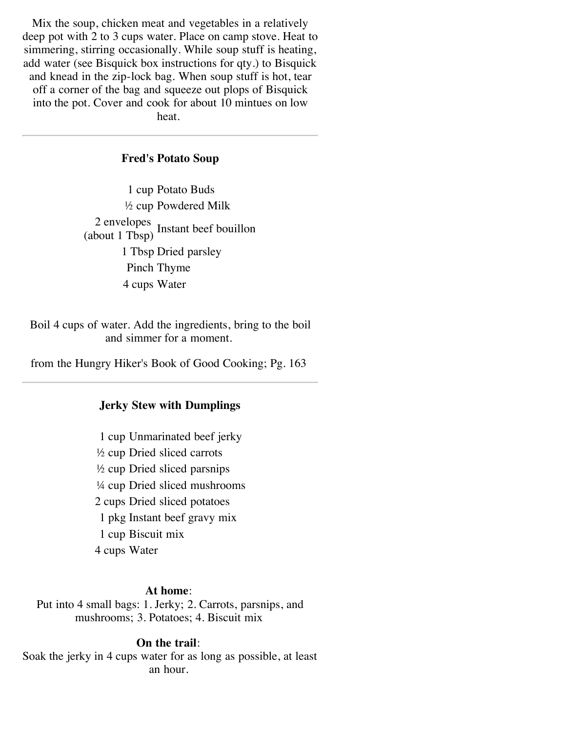Mix the soup, chicken meat and vegetables in a relatively deep pot with 2 to 3 cups water. Place on camp stove. Heat to simmering, stirring occasionally. While soup stuff is heating, add water (see Bisquick box instructions for qty.) to Bisquick and knead in the zip-lock bag. When soup stuff is hot, tear off a corner of the bag and squeeze out plops of Bisquick into the pot. Cover and cook for about 10 mintues on low heat.

#### **Fred's Potato Soup**

1 cup Potato Buds ½ cup Powdered Milk 2 envelopes (about 1 Tbsp) Instant beef bouillon 1 Tbsp Dried parsley Pinch Thyme 4 cups Water

Boil 4 cups of water. Add the ingredients, bring to the boil and simmer for a moment.

from the Hungry Hiker's Book of Good Cooking; Pg. 163

#### **Jerky Stew with Dumplings**

1 cup Unmarinated beef jerky ½ cup Dried sliced carrots ½ cup Dried sliced parsnips ¼ cup Dried sliced mushrooms 2 cups Dried sliced potatoes 1 pkg Instant beef gravy mix 1 cup Biscuit mix 4 cups Water

#### **At home**:

Put into 4 small bags: 1. Jerky; 2. Carrots, parsnips, and mushrooms; 3. Potatoes; 4. Biscuit mix

#### **On the trail**:

Soak the jerky in 4 cups water for as long as possible, at least an hour.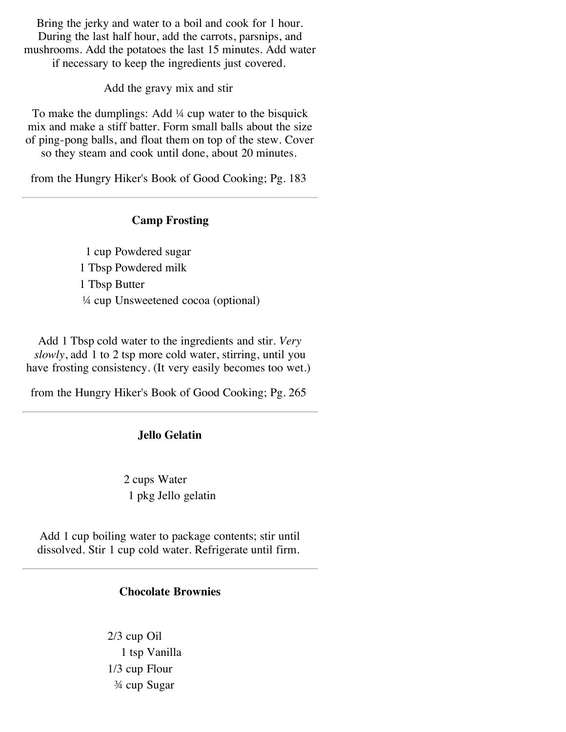Bring the jerky and water to a boil and cook for 1 hour. During the last half hour, add the carrots, parsnips, and mushrooms. Add the potatoes the last 15 minutes. Add water if necessary to keep the ingredients just covered.

Add the gravy mix and stir

To make the dumplings: Add ¼ cup water to the bisquick mix and make a stiff batter. Form small balls about the size of ping-pong balls, and float them on top of the stew. Cover so they steam and cook until done, about 20 minutes.

from the Hungry Hiker's Book of Good Cooking; Pg. 183

#### **Camp Frosting**

1 cup Powdered sugar 1 Tbsp Powdered milk 1 Tbsp Butter ¼ cup Unsweetened cocoa (optional)

Add 1 Tbsp cold water to the ingredients and stir. *Very slowly*, add 1 to 2 tsp more cold water, stirring, until you have frosting consistency. (It very easily becomes too wet.)

from the Hungry Hiker's Book of Good Cooking; Pg. 265

#### **Jello Gelatin**

2 cups Water 1 pkg Jello gelatin

Add 1 cup boiling water to package contents; stir until dissolved. Stir 1 cup cold water. Refrigerate until firm.

#### **Chocolate Brownies**

2/3 cup Oil 1 tsp Vanilla 1/3 cup Flour ¾ cup Sugar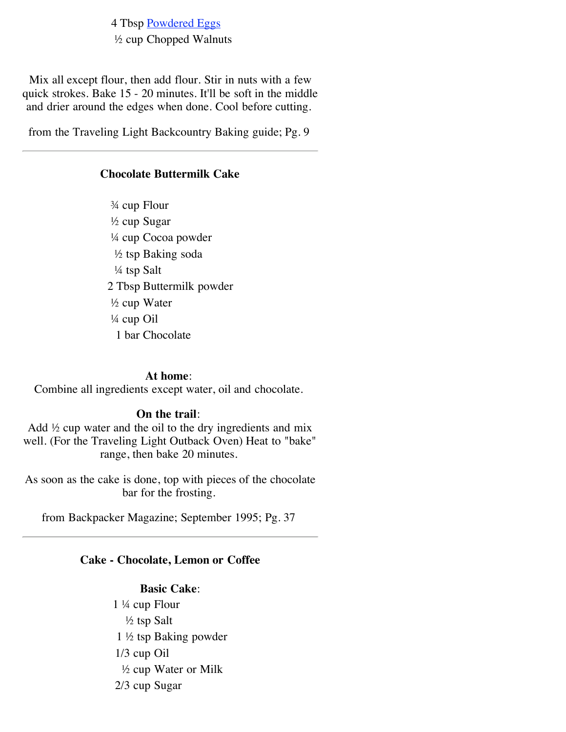4 Tbsp [Powdered Eggs](http://www.ziplink.net/~24601/recipes/dehydrtr.htm#EGGS) ½ cup Chopped Walnuts

Mix all except flour, then add flour. Stir in nuts with a few quick strokes. Bake 15 - 20 minutes. It'll be soft in the middle and drier around the edges when done. Cool before cutting.

from the Traveling Light Backcountry Baking guide; Pg. 9

#### **Chocolate Buttermilk Cake**

¾ cup Flour ½ cup Sugar ¼ cup Cocoa powder ½ tsp Baking soda ¼ tsp Salt 2 Tbsp Buttermilk powder ½ cup Water ¼ cup Oil 1 bar Chocolate

#### **At home**:

Combine all ingredients except water, oil and chocolate.

#### **On the trail**:

Add  $\frac{1}{2}$  cup water and the oil to the dry ingredients and mix well. (For the Traveling Light Outback Oven) Heat to "bake" range, then bake 20 minutes.

As soon as the cake is done, top with pieces of the chocolate bar for the frosting.

from Backpacker Magazine; September 1995; Pg. 37

#### **Cake - Chocolate, Lemon or Coffee**

#### **Basic Cake**:

1 ¼ cup Flour ½ tsp Salt 1 ½ tsp Baking powder 1/3 cup Oil ½ cup Water or Milk 2/3 cup Sugar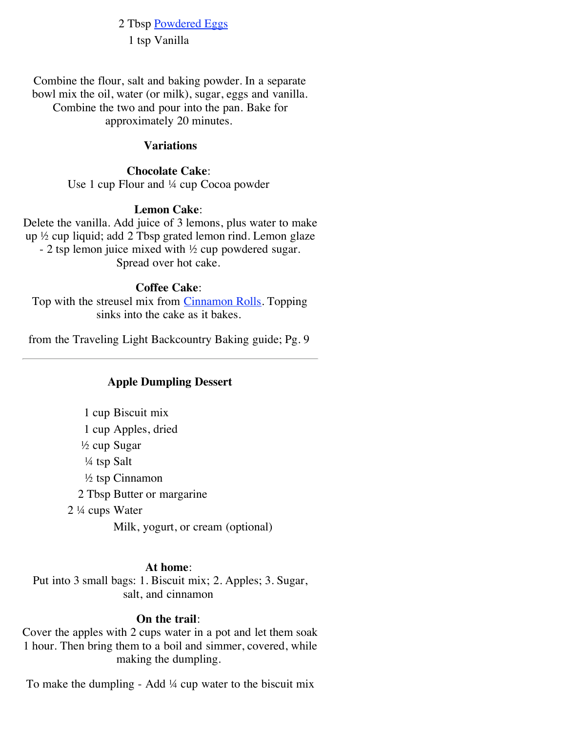2 Tbsp [Powdered Eggs](http://www.ziplink.net/~24601/recipes/dehydrtr.htm#EGGS) 1 tsp Vanilla

Combine the flour, salt and baking powder. In a separate bowl mix the oil, water (or milk), sugar, eggs and vanilla. Combine the two and pour into the pan. Bake for approximately 20 minutes.

#### **Variations**

#### **Chocolate Cake**:

Use 1 cup Flour and ¼ cup Cocoa powder

#### **Lemon Cake**:

Delete the vanilla. Add juice of 3 lemons, plus water to make up ½ cup liquid; add 2 Tbsp grated lemon rind. Lemon glaze - 2 tsp lemon juice mixed with ½ cup powdered sugar. Spread over hot cake.

#### **Coffee Cake**:

Top with the streusel mix from [Cinnamon Rolls.](http://www.ziplink.net/~24601/recipes/bprecipe.htm#CINNABUN) Topping sinks into the cake as it bakes.

from the Traveling Light Backcountry Baking guide; Pg. 9

## **Apple Dumpling Dessert**

1 cup Biscuit mix 1 cup Apples, dried ½ cup Sugar ¼ tsp Salt ½ tsp Cinnamon 2 Tbsp Butter or margarine 2 ¼ cups Water Milk, yogurt, or cream (optional)

#### **At home**:

Put into 3 small bags: 1. Biscuit mix; 2. Apples; 3. Sugar, salt, and cinnamon

#### **On the trail**:

Cover the apples with 2 cups water in a pot and let them soak 1 hour. Then bring them to a boil and simmer, covered, while making the dumpling.

To make the dumpling - Add  $\frac{1}{4}$  cup water to the biscuit mix